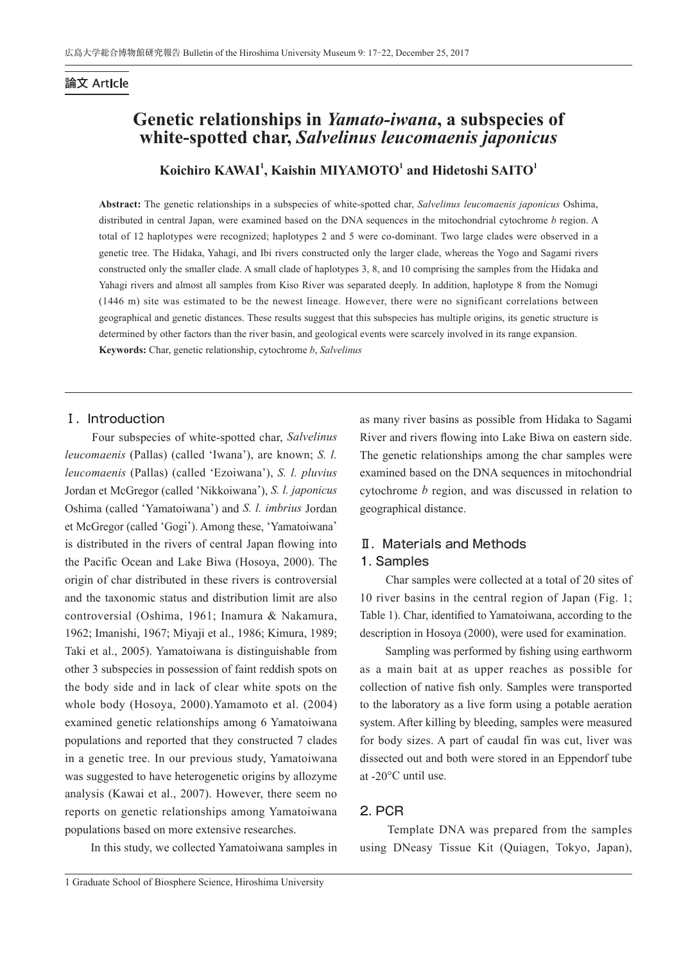# 論文 Article

# **Genetic relationships in** *Yamato-iwana***, a subspecies of white-spotted char,** *Salvelinus leucomaenis japonicus*

# Koichiro KAWAI<sup>1</sup>, Kaishin MIYAMOTO<sup>1</sup> and Hidetoshi SAITO<sup>1</sup>

**Abstract:** The genetic relationships in a subspecies of white-spotted char, *Salvelinus leucomaenis japonicus* Oshima, distributed in central Japan, were examined based on the DNA sequences in the mitochondrial cytochrome *b* region. A total of 12 haplotypes were recognized; haplotypes 2 and 5 were co-dominant. Two large clades were observed in a genetic tree. The Hidaka, Yahagi, and Ibi rivers constructed only the larger clade, whereas the Yogo and Sagami rivers constructed only the smaller clade. A small clade of haplotypes 3, 8, and 10 comprising the samples from the Hidaka and Yahagi rivers and almost all samples from Kiso River was separated deeply. In addition, haplotype 8 from the Nomugi (1446 m) site was estimated to be the newest lineage. However, there were no significant correlations between geographical and genetic distances. These results suggest that this subspecies has multiple origins, its genetic structure is determined by other factors than the river basin, and geological events were scarcely involved in its range expansion. **Keywords:** Char, genetic relationship, cytochrome *b*, *Salvelinus*

### I. Introduction

 Four subspecies of white-spotted char, *Salvelinus leucomaenis* (Pallas) (called 'Iwana'), are known; *S. l. leucomaenis* (Pallas) (called 'Ezoiwana'), *S. l. pluvius* Jordan et McGregor (called 'Nikkoiwana'), *S. l. japonicus* Oshima (called 'Yamatoiwana') and *S. l. imbrius* Jordan et McGregor (called 'Gogi'). Among these, 'Yamatoiwana' is distributed in the rivers of central Japan flowing into the Pacific Ocean and Lake Biwa (Hosoya, 2000). The origin of char distributed in these rivers is controversial and the taxonomic status and distribution limit are also controversial (Oshima, 1961; Inamura & Nakamura, 1962; Imanishi, 1967; Miyaji et al., 1986; Kimura, 1989; Taki et al., 2005). Yamatoiwana is distinguishable from other 3 subspecies in possession of faint reddish spots on the body side and in lack of clear white spots on the whole body (Hosoya, 2000).Yamamoto et al. (2004) examined genetic relationships among 6 Yamatoiwana populations and reported that they constructed 7 clades in a genetic tree. In our previous study, Yamatoiwana was suggested to have heterogenetic origins by allozyme analysis (Kawai et al., 2007). However, there seem no reports on genetic relationships among Yamatoiwana populations based on more extensive researches.

In this study, we collected Yamatoiwana samples in

as many river basins as possible from Hidaka to Sagami River and rivers flowing into Lake Biwa on eastern side. The genetic relationships among the char samples were examined based on the DNA sequences in mitochondrial cytochrome *b* region, and was discussed in relation to geographical distance.

# Ⅱ.Materials and Methods 1. Samples

 Char samples were collected at a total of 20 sites of 10 river basins in the central region of Japan (Fig. 1; Table 1). Char, identified to Yamatoiwana, according to the description in Hosoya (2000), were used for examination.

 Sampling was performed by fishing using earthworm as a main bait at as upper reaches as possible for collection of native fish only. Samples were transported to the laboratory as a live form using a potable aeration system. After killing by bleeding, samples were measured for body sizes. A part of caudal fin was cut, liver was dissected out and both were stored in an Eppendorf tube at -20°C until use.

### 2. PCR

 Template DNA was prepared from the samples using DNeasy Tissue Kit (Quiagen, Tokyo, Japan),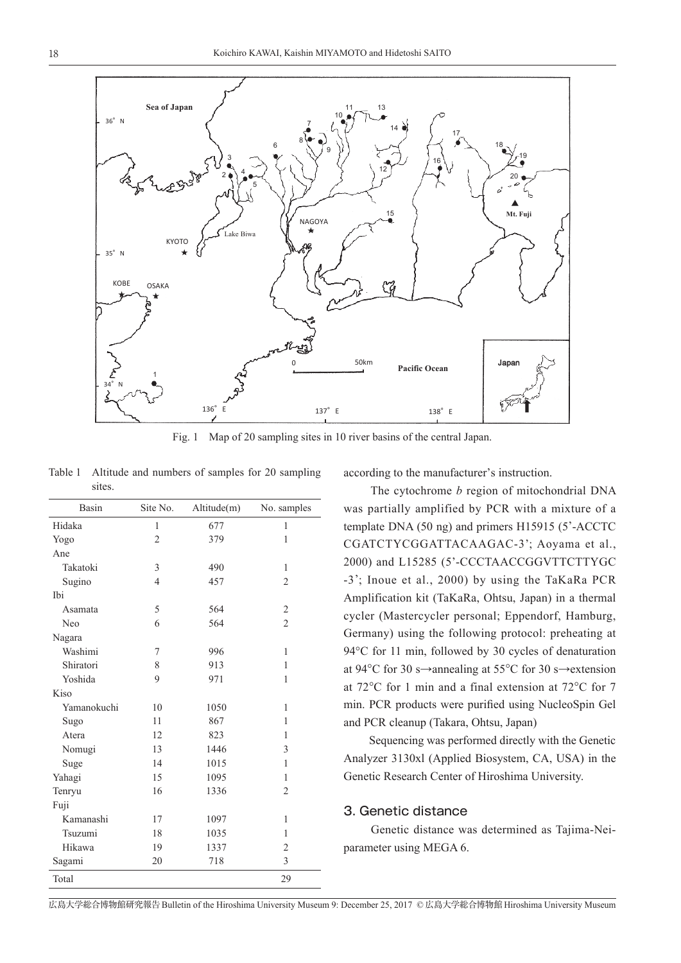

Fig. 1 Map of 20 sampling sites in 10 river basins of the central Japan.

Table 1 Altitude and numbers of samples for 20 sampling sites.

| Basin       | Site No.       | Altitude(m) | No. samples    |
|-------------|----------------|-------------|----------------|
| Hidaka      | 1              | 677         | 1              |
| Yogo        | $\overline{2}$ | 379         | 1              |
| Ane         |                |             |                |
| Takatoki    | 3              | 490         | 1              |
| Sugino      | $\overline{4}$ | 457         | $\overline{2}$ |
| Ibi         |                |             |                |
| Asamata     | 5              | 564         | $\overline{c}$ |
| Neo         | 6              | 564         | $\overline{2}$ |
| Nagara      |                |             |                |
| Washimi     | 7              | 996         | 1              |
| Shiratori   | 8              | 913         | 1              |
| Yoshida     | 9              | 971         | 1              |
| Kiso        |                |             |                |
| Yamanokuchi | 10             | 1050        | 1              |
| Sugo        | 11             | 867         | 1              |
| Atera       | 12             | 823         | 1              |
| Nomugi      | 13             | 1446        | 3              |
| Suge        | 14             | 1015        | 1              |
| Yahagi      | 15             | 1095        | 1              |
| Tenryu      | 16             | 1336        | $\overline{c}$ |
| Fuji        |                |             |                |
| Kamanashi   | 17             | 1097        | 1              |
| Tsuzumi     | 18             | 1035        | 1              |
| Hikawa      | 19             | 1337        | $\overline{c}$ |
| Sagami      | 20             | 718         | 3              |
| Total       |                |             | 29             |

according to the manufacturer's instruction.

 The cytochrome *b* region of mitochondrial DNA was partially amplified by PCR with a mixture of a template DNA (50 ng) and primers H15915 (5'-ACCTC CGATCTYCGGATTACAAGAC-3'; Aoyama et al., 2000) and L15285 (5'-CCCTAACCGGVTTCTTYGC -3'; Inoue et al., 2000) by using the TaKaRa PCR Amplification kit (TaKaRa, Ohtsu, Japan) in a thermal cycler (Mastercycler personal; Eppendorf, Hamburg, Germany) using the following protocol: preheating at 94°C for 11 min, followed by 30 cycles of denaturation at 94°C for 30 s→annealing at 55°C for 30 s→extension at 72°C for 1 min and a final extension at 72°C for 7 min. PCR products were purified using NucleoSpin Gel and PCR cleanup (Takara, Ohtsu, Japan)

 Sequencing was performed directly with the Genetic Analyzer 3130xl (Applied Biosystem, CA, USA) in the Genetic Research Center of Hiroshima University.

#### 3. Genetic distance

 Genetic distance was determined as Tajima-Neiparameter using MEGA 6.

広島大学総合博物館研究報告Bulletin of the Hiroshima University Museum 9: December 25, 2017 © 広島大学総合博物館Hiroshima University Museum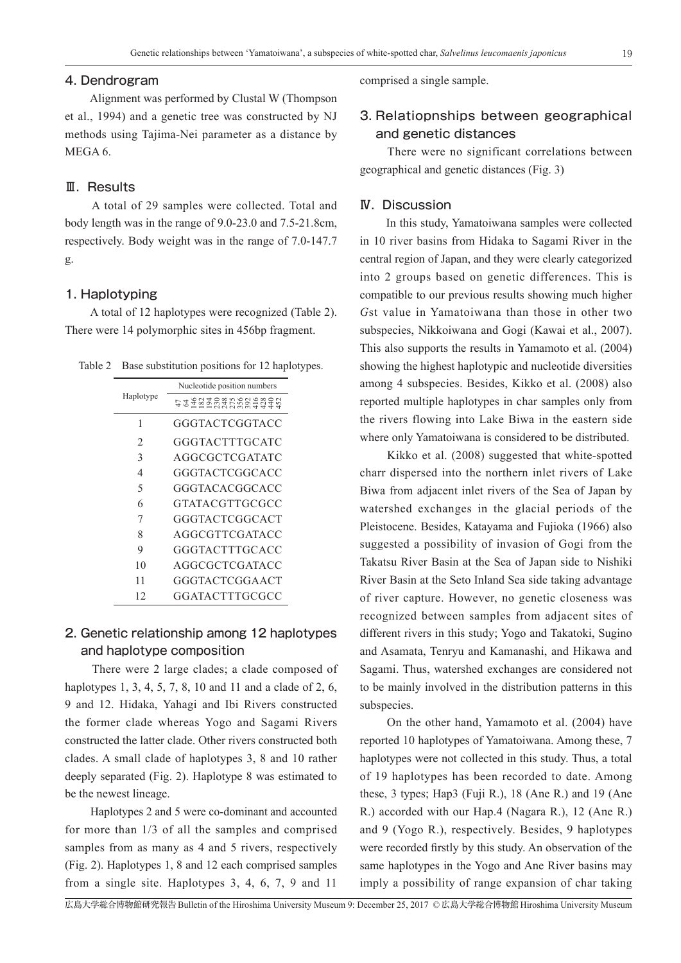### 4. Dendrogram

 Alignment was performed by Clustal W (Thompson et al., 1994) and a genetic tree was constructed by NJ methods using Tajima-Nei parameter as a distance by MEGA 6.

#### Ⅲ.Results

 A total of 29 samples were collected. Total and body length was in the range of 9.0-23.0 and 7.5-21.8cm, respectively. Body weight was in the range of 7.0-147.7 g.

#### 1. Haplotyping

 A total of 12 haplotypes were recognized (Table 2). There were 14 polymorphic sites in 456bp fragment.

Table 2 Base substitution positions for 12 haplotypes.

| Haplotype | Nucleotide position numbers |  |  |
|-----------|-----------------------------|--|--|
|           | tzemparkagean               |  |  |
| 1         | GGGTACTCGGTACC              |  |  |
| 2         | GGGTACTTTGCATC              |  |  |
| 3         | AGGCGCTCGATATC              |  |  |
| 4         | GGGTACTCGGCACC              |  |  |
| 5         | GGGTACACGGCACC              |  |  |
| 6         | GTATACGTTGCGCC              |  |  |
| 7         | GGGTACTCGGCACT              |  |  |
| 8         | AGGCGTTCGATACC              |  |  |
| 9         | GGGTACTTTGCACC              |  |  |
| 10        | AGGCGCTCGATACC              |  |  |
| 11        | GGGTACTCGGAACT              |  |  |
| 12        | GGATACTTTGCGCC              |  |  |

# 2. Genetic relationship among 12 haplotypes and haplotype composition

 There were 2 large clades; a clade composed of haplotypes 1, 3, 4, 5, 7, 8, 10 and 11 and a clade of 2, 6, 9 and 12. Hidaka, Yahagi and Ibi Rivers constructed the former clade whereas Yogo and Sagami Rivers constructed the latter clade. Other rivers constructed both clades. A small clade of haplotypes 3, 8 and 10 rather deeply separated (Fig. 2). Haplotype 8 was estimated to be the newest lineage.

 Haplotypes 2 and 5 were co-dominant and accounted for more than 1/3 of all the samples and comprised samples from as many as 4 and 5 rivers, respectively (Fig. 2). Haplotypes 1, 8 and 12 each comprised samples from a single site. Haplotypes 3, 4, 6, 7, 9 and 11

comprised a single sample.

# 3. Relatiopnships between geographical and genetic distances

 There were no significant correlations between geographical and genetic distances (Fig. 3)

#### Ⅳ.Discussion

 In this study, Yamatoiwana samples were collected in 10 river basins from Hidaka to Sagami River in the central region of Japan, and they were clearly categorized into 2 groups based on genetic differences. This is compatible to our previous results showing much higher *G*st value in Yamatoiwana than those in other two subspecies, Nikkoiwana and Gogi (Kawai et al., 2007). This also supports the results in Yamamoto et al. (2004) showing the highest haplotypic and nucleotide diversities among 4 subspecies. Besides, Kikko et al. (2008) also reported multiple haplotypes in char samples only from the rivers flowing into Lake Biwa in the eastern side where only Yamatoiwana is considered to be distributed.

 Kikko et al. (2008) suggested that white-spotted charr dispersed into the northern inlet rivers of Lake Biwa from adjacent inlet rivers of the Sea of Japan by watershed exchanges in the glacial periods of the Pleistocene. Besides, Katayama and Fujioka (1966) also suggested a possibility of invasion of Gogi from the Takatsu River Basin at the Sea of Japan side to Nishiki River Basin at the Seto Inland Sea side taking advantage of river capture. However, no genetic closeness was recognized between samples from adjacent sites of different rivers in this study; Yogo and Takatoki, Sugino and Asamata, Tenryu and Kamanashi, and Hikawa and Sagami. Thus, watershed exchanges are considered not to be mainly involved in the distribution patterns in this subspecies.

 On the other hand, Yamamoto et al. (2004) have reported 10 haplotypes of Yamatoiwana. Among these, 7 haplotypes were not collected in this study. Thus, a total of 19 haplotypes has been recorded to date. Among these, 3 types; Hap3 (Fuji R.), 18 (Ane R.) and 19 (Ane R.) accorded with our Hap.4 (Nagara R.), 12 (Ane R.) and 9 (Yogo R.), respectively. Besides, 9 haplotypes were recorded firstly by this study. An observation of the same haplotypes in the Yogo and Ane River basins may imply a possibility of range expansion of char taking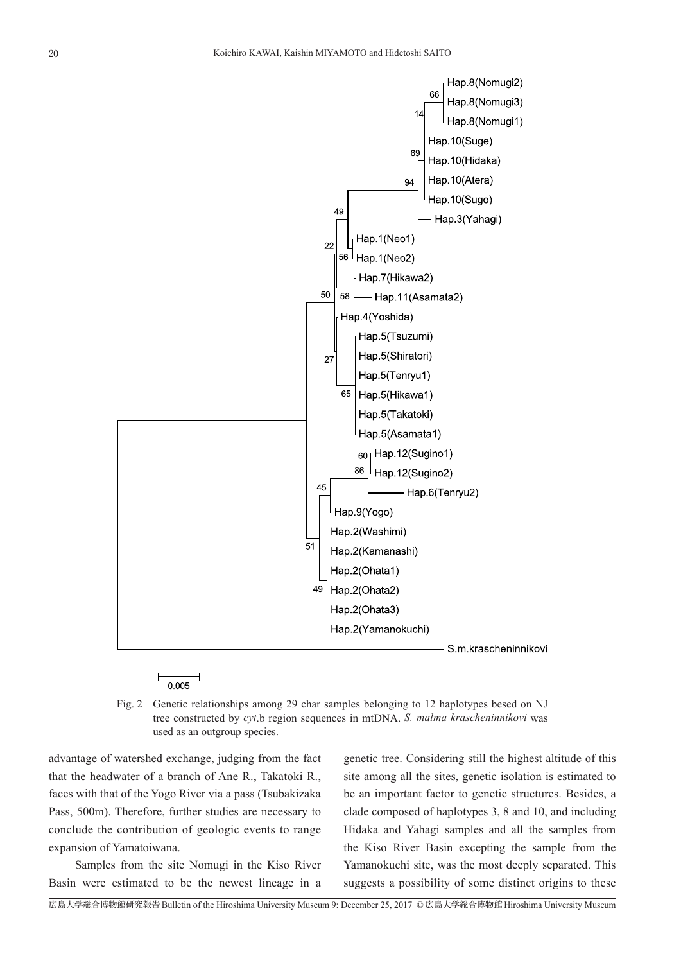

Fig. 2 Genetic relationships among 29 char samples belonging to 12 haplotypes besed on NJ tree constructed by *cyt*.b region sequences in mtDNA. *S. malma krascheninnikovi* was used as an outgroup species.

advantage of watershed exchange, judging from the fact that the headwater of a branch of Ane R., Takatoki R., faces with that of the Yogo River via a pass (Tsubakizaka Pass, 500m). Therefore, further studies are necessary to conclude the contribution of geologic events to range expansion of Yamatoiwana.

 $0.005$ 

 Samples from the site Nomugi in the Kiso River Basin were estimated to be the newest lineage in a

genetic tree. Considering still the highest altitude of this site among all the sites, genetic isolation is estimated to be an important factor to genetic structures. Besides, a clade composed of haplotypes 3, 8 and 10, and including Hidaka and Yahagi samples and all the samples from the Kiso River Basin excepting the sample from the Yamanokuchi site, was the most deeply separated. This suggests a possibility of some distinct origins to these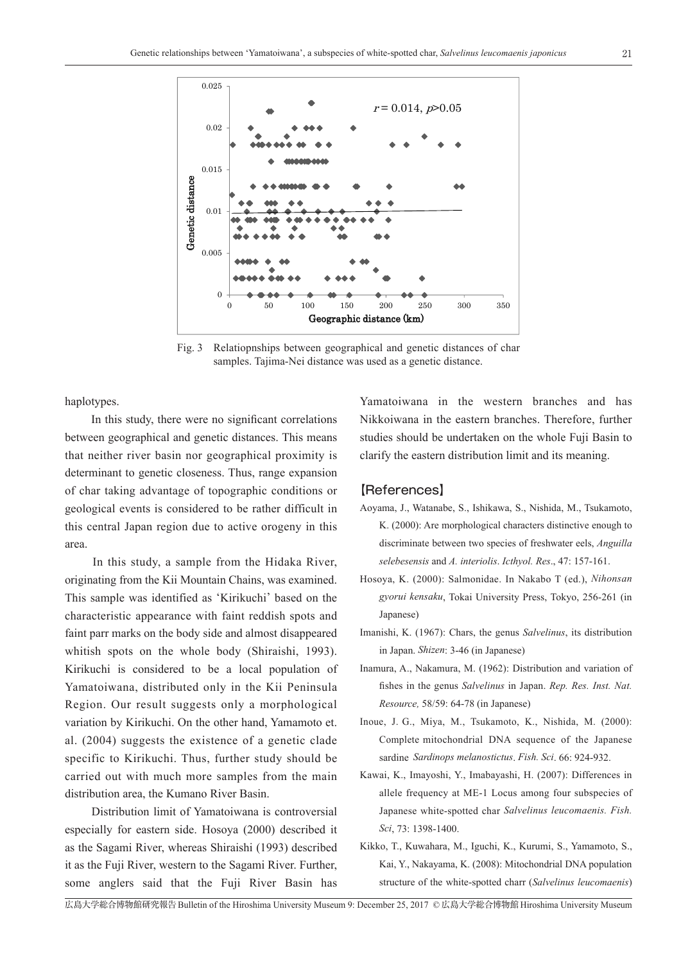

Fig. 3 Relatiopnships between geographical and genetic distances of char samples. Tajima-Nei distance was used as a genetic distance.

haplotypes.

 In this study, there were no significant correlations between geographical and genetic distances. This means that neither river basin nor geographical proximity is determinant to genetic closeness. Thus, range expansion of char taking advantage of topographic conditions or geological events is considered to be rather difficult in this central Japan region due to active orogeny in this area.

 In this study, a sample from the Hidaka River, originating from the Kii Mountain Chains, was examined. This sample was identified as 'Kirikuchi' based on the characteristic appearance with faint reddish spots and faint parr marks on the body side and almost disappeared whitish spots on the whole body (Shiraishi, 1993). Kirikuchi is considered to be a local population of Yamatoiwana, distributed only in the Kii Peninsula Region. Our result suggests only a morphological variation by Kirikuchi. On the other hand, Yamamoto et. al. (2004) suggests the existence of a genetic clade specific to Kirikuchi. Thus, further study should be carried out with much more samples from the main distribution area, the Kumano River Basin.

 Distribution limit of Yamatoiwana is controversial especially for eastern side. Hosoya (2000) described it as the Sagami River, whereas Shiraishi (1993) described it as the Fuji River, western to the Sagami River. Further, some anglers said that the Fuji River Basin has

Yamatoiwana in the western branches and has Nikkoiwana in the eastern branches. Therefore, further studies should be undertaken on the whole Fuji Basin to clarify the eastern distribution limit and its meaning.

#### 【References】

- Aoyama, J., Watanabe, S., Ishikawa, S., Nishida, M., Tsukamoto, K. (2000): Are morphological characters distinctive enough to discriminate between two species of freshwater eels, *Anguilla selebesensis* and *A. interiolis*. *Icthyol. Res*., 47: 157-161.
- Hosoya, K. (2000): Salmonidae. In Nakabo T (ed.), *Nihonsan gyorui kensaku*, Tokai University Press, Tokyo, 256-261 (in Japanese)
- Imanishi, K. (1967): Chars, the genus *Salvelinus*, its distribution in Japan. *Shizen*: 3-46 (in Japanese)
- Inamura, A., Nakamura, M. (1962): Distribution and variation of fishes in the genus *Salvelinus* in Japan. *Rep. Res. Inst. Nat. Resource,* 58/59: 64-78 (in Japanese)
- Inoue, J. G., Miya, M., Tsukamoto, K., Nishida, M. (2000): Complete mitochondrial DNA sequence of the Japanese sardine *Sardinops melanostictus*. *Fish. Sci*. 66: 924-932.
- Kawai, K., Imayoshi, Y., Imabayashi, H. (2007): Differences in allele frequency at ME-1 Locus among four subspecies of Japanese white-spotted char *Salvelinus leucomaenis. Fish. Sci*, 73: 1398-1400.
- Kikko, T., Kuwahara, M., Iguchi, K., Kurumi, S., Yamamoto, S., Kai, Y., Nakayama, K. (2008): Mitochondrial DNA population structure of the white-spotted charr (*Salvelinus leucomaenis*)